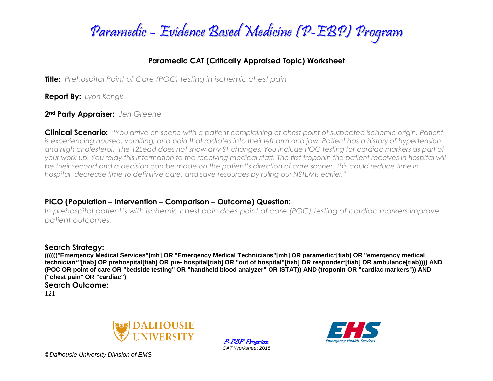

### **Paramedic CAT (Critically Appraised Topic) Worksheet**

**Title:** *Prehospital Point of Care (POC) testing in ischemic chest pain*

**Report By:** *Lyon Kengis*

**2nd Party Appraiser:** *Jen Greene*

**Clinical Scenario:** *"You arrive on scene with a patient complaining of chest point of suspected ischemic origin. Patient is experiencing nausea, vomiting, and pain that radiates into their left arm and jaw. Patient has a history of hypertension and high cholesterol. The 12Lead does not show any ST changes. You include POC testing for cardiac markers as part of your work up. You relay this information to the receiving medical staff. The first troponin the patient receives in hospital will be their second and a decision can be made on the patient's direction of care sooner. This could reduce time in hospital, decrease time to definitive care, and save resources by ruling our NSTEMIs earlier."* 

### **PICO (Population – Intervention – Comparison – Outcome) Question:**

*In prehospital patient's with ischemic chest pain does point of care (POC) testing of cardiac markers improve patient outcomes.*

### **Search Strategy:**

**(((((("Emergency Medical Services"[mh] OR "Emergency Medical Technicians"[mh] OR paramedic\*[tiab] OR "emergency medical technician\*"[tiab] OR prehospital[tiab] OR pre- hospital[tiab] OR "out of hospital"[tiab] OR responder\*[tiab] OR ambulance[tiab)))) AND (POC OR point of care OR "bedside testing" OR "handheld blood analyzer" OR iSTAT)) AND (troponin OR "cardiac markers")) AND ("chest pain" OR "cardiac")**

**Search Outcome:**

121



P-EBP Program *CAT Worksheet 2015*

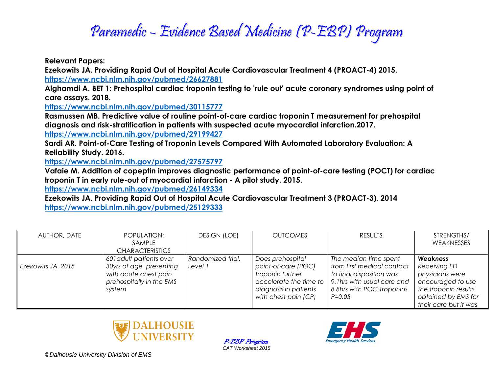**Relevant Papers:**

**Ezekowits JA. Providing Rapid Out of Hospital Acute Cardiovascular Treatment 4 (PROACT-4) 2015. <https://www.ncbi.nlm.nih.gov/pubmed/26627881>**

**Alghamdi A. BET 1: Prehospital cardiac troponin testing to 'rule out' acute coronary syndromes using point of care assays. 2018.**

**<https://www.ncbi.nlm.nih.gov/pubmed/30115777>**

**Rasmussen MB. Predictive value of routine point-of-care cardiac troponin T measurement for prehospital diagnosis and risk-stratification in patients with suspected acute myocardial infarction.2017.**

**<https://www.ncbi.nlm.nih.gov/pubmed/29199427>**

**Sardi AR. Point-of-Care Testing of Troponin Levels Compared With Automated Laboratory Evaluation: A Reliability Study. 2016.**

**<https://www.ncbi.nlm.nih.gov/pubmed/27575797>**

**Vafaie M. Addition of copeptin improves diagnostic performance of point-of-care testing (POCT) for cardiac troponin T in early rule-out of myocardial infarction - A pilot study. 2015.**

**<https://www.ncbi.nlm.nih.gov/pubmed/26149334>**

**Ezekowits JA. Providing Rapid Out of Hospital Acute Cardiovascular Treatment 3 (PROACT-3). 2014 <https://www.ncbi.nlm.nih.gov/pubmed/25129333>**

| AUTHOR, DATE       | POPULATION:<br>SAMPLE                                                                  | <b>DESIGN (LOE)</b> | <b>OUTCOMES</b>                                                                                                    | <b>RESULTS</b>                                                                                                                   | STRENGTHS/<br>WEAKNESSES                                                                                                            |
|--------------------|----------------------------------------------------------------------------------------|---------------------|--------------------------------------------------------------------------------------------------------------------|----------------------------------------------------------------------------------------------------------------------------------|-------------------------------------------------------------------------------------------------------------------------------------|
|                    | <b>CHARACTERISTICS</b>                                                                 |                     |                                                                                                                    |                                                                                                                                  |                                                                                                                                     |
|                    | 601 adult patients over                                                                | Randomized trial.   | Does prehospital                                                                                                   | The median time spent                                                                                                            | <b>Weakness</b>                                                                                                                     |
| Ezekowits JA. 2015 | 30yrs of age presenting<br>with acute chest pain<br>prehospitally in the EMS<br>system | Level 1             | point-of-care (POC)<br>troponin further<br>accelerate the time to<br>diagnosis in patients<br>with chest pain (CP) | from first medical contact<br>to final disposition was<br>9.1hrs with usual care and<br>8.8hrs with POC Troponins.<br>$P = 0.05$ | <b>Receiving ED</b><br>physicians were<br>encouraged to use<br>the troponin results<br>obtained by EMS for<br>their care but it was |



P-EBP Program *CAT Worksheet 2015*

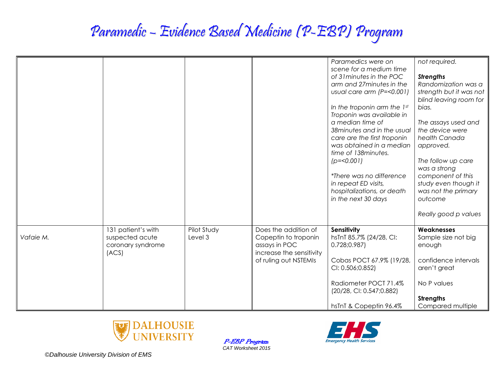|           |                                                                     |                        |                                                                                                                    | Paramedics were on<br>scene for a medium time<br>of 31 minutes in the POC<br>arm and 27minutes in the<br>usual care arm $(P=<0.001)$<br>In the troponin arm the 1st<br>Troponin was available in<br>a median time of<br>38 minutes and in the usual<br>care are the first troponin<br>was obtained in a median<br>time of 138minutes.<br>$(p=<0.001)$<br>*There was no difference<br>in repeat ED visits,<br>hospitalizations, or death<br>in the next 30 days | not required.<br><b>Strengths</b><br>Randomization was a<br>strength but it was not<br>blind leaving room for<br>bias.<br>The assays used and<br>the device were<br>health Canada<br>approved.<br>The follow up care<br>was a strong<br>component of this<br>study even though it<br>was not the primary<br>outcome |
|-----------|---------------------------------------------------------------------|------------------------|--------------------------------------------------------------------------------------------------------------------|----------------------------------------------------------------------------------------------------------------------------------------------------------------------------------------------------------------------------------------------------------------------------------------------------------------------------------------------------------------------------------------------------------------------------------------------------------------|---------------------------------------------------------------------------------------------------------------------------------------------------------------------------------------------------------------------------------------------------------------------------------------------------------------------|
|           |                                                                     |                        |                                                                                                                    |                                                                                                                                                                                                                                                                                                                                                                                                                                                                | Really good p values                                                                                                                                                                                                                                                                                                |
| Vafaie M. | 131 patient's with<br>suspected acute<br>coronary syndrome<br>(ACS) | Pilot Study<br>Level 3 | Does the addition of<br>Copeptin to troponin<br>assays in POC<br>increase the sensitivity<br>of ruling out NSTEMIs | Sensitivity<br>hsTnT 85.7% (24/28, CI:<br>0.728;0.987<br>Cobas POCT 67.9% (19/28,<br>Cl: 0.506; 0.852                                                                                                                                                                                                                                                                                                                                                          | <b>Weaknesses</b><br>Sample size not big<br>enough<br>confidence intervals<br>aren't great                                                                                                                                                                                                                          |
|           |                                                                     |                        |                                                                                                                    | Radiometer POCT 71.4%<br>(20/28, CI: 0.547;0.882)<br>hsTnT & Copeptin 96.4%                                                                                                                                                                                                                                                                                                                                                                                    | No P values<br><b>Strengths</b><br>Compared multiple                                                                                                                                                                                                                                                                |
|           |                                                                     |                        |                                                                                                                    |                                                                                                                                                                                                                                                                                                                                                                                                                                                                |                                                                                                                                                                                                                                                                                                                     |



P-EBP Program *CAT Worksheet 2015*

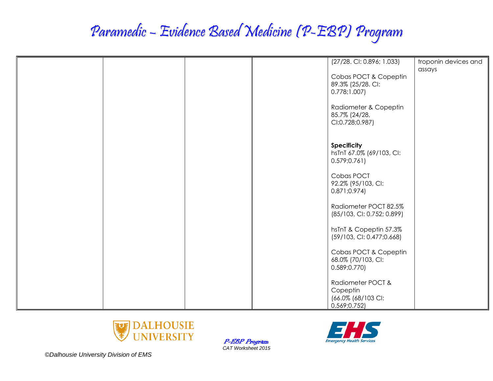|  |  | (27/28. CI: 0.896; 1.033)                   | troponin devices and |
|--|--|---------------------------------------------|----------------------|
|  |  |                                             | assays               |
|  |  | Cobas POCT & Copeptin                       |                      |
|  |  | 89.3% (25/28. CI:                           |                      |
|  |  | 0.778;1.007                                 |                      |
|  |  |                                             |                      |
|  |  | Radiometer & Copeptin<br>85.7% (24/28,      |                      |
|  |  | CI:0.728;0.987)                             |                      |
|  |  |                                             |                      |
|  |  |                                             |                      |
|  |  | <b>Specificity</b>                          |                      |
|  |  | hsTnT 67.0% (69/103, CI:<br>0.579;0.761     |                      |
|  |  |                                             |                      |
|  |  | Cobas POCT                                  |                      |
|  |  | 92.2% (95/103, CI:                          |                      |
|  |  | 0.871; 0.974                                |                      |
|  |  | Radiometer POCT 82.5%                       |                      |
|  |  | (85/103, CI: 0.752; 0.899)                  |                      |
|  |  |                                             |                      |
|  |  | hsTnT & Copeptin 57.3%                      |                      |
|  |  | (59/103, CI: 0.477;0.668)                   |                      |
|  |  |                                             |                      |
|  |  | Cobas POCT & Copeptin<br>68.0% (70/103, CI: |                      |
|  |  | 0.589; 0.770                                |                      |
|  |  |                                             |                      |
|  |  | Radiometer POCT &                           |                      |
|  |  | Copeptin                                    |                      |
|  |  | (66.0% (68/103 CI:                          |                      |
|  |  | 0.569;0.752)                                |                      |



P-EBP Program *CAT Worksheet 2015*

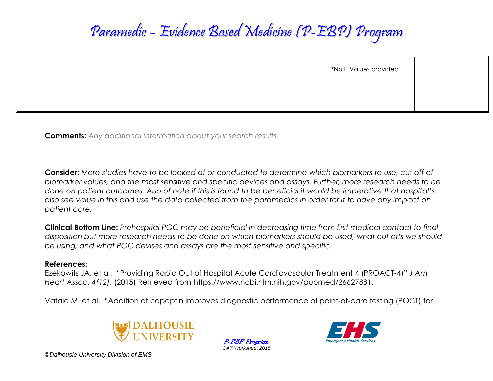|  |  | No P Values provided |  |
|--|--|----------------------|--|
|  |  |                      |  |

**Comments:** *Any additional information about your search results.*

**Consider:** *More studies have to be looked at or conducted to determine which biomarkers to use, cut off of biomarker values, and the most sensitive and specific devices and assays. Further, more research needs to be done on patient outcomes. Also of note if this is found to be beneficial it would be imperative that hospital's also see value in this and use the data collected from the paramedics in order for it to have any impact on patient care.*

**Clinical Bottom Line:** *Prehospital POC may be beneficial in decreasing time from first medical contact to final disposition but more research needs to be done on which biomarkers should be used, what cut offs we should be using, and what POC devises and assays are the most sensitive and specific.* 

#### **References:**

Ezekowits JA. et al. "Providing Rapid Out of Hospital Acute Cardiovascular Treatment 4 (PROACT-4)" *J Am Heart Assoc. 4(12).* (2015) Retrieved from [https://www.ncbi.nlm.nih.gov/pubmed/26627881.](https://www.ncbi.nlm.nih.gov/pubmed/26627881)

Vafaie M. et al. "Addition of copeptin improves diagnostic performance of point-of-care testing (POCT) for



P-EBP Program *CAT Worksheet 2015*